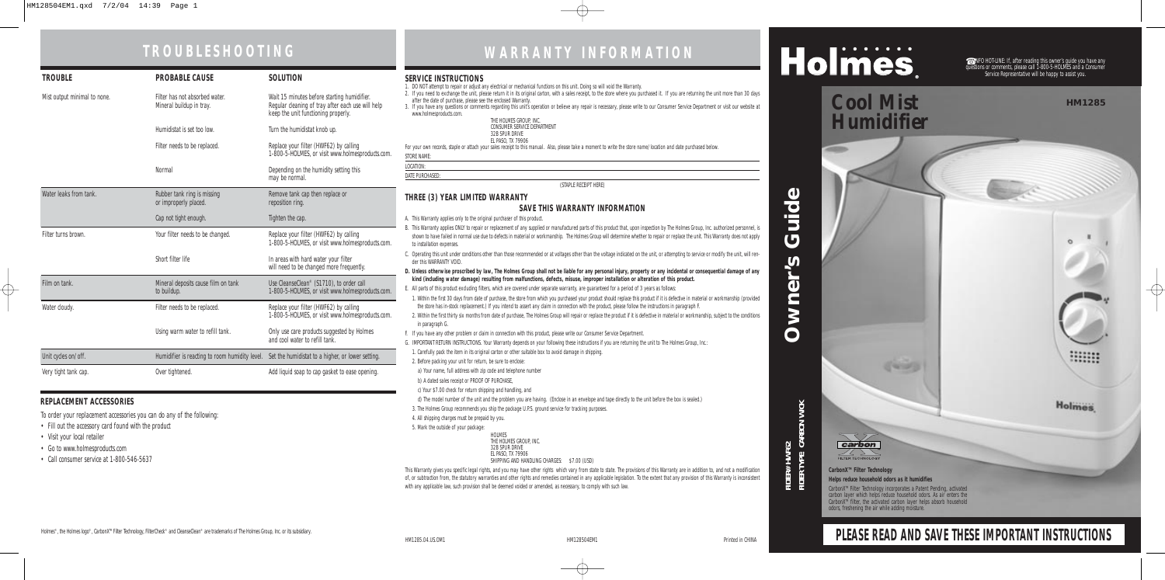| <b>TROUBLE</b>               | <b>PROBABLE CAUSE</b>                                      | <b>SOLUTION</b>                                                                                                                         |
|------------------------------|------------------------------------------------------------|-----------------------------------------------------------------------------------------------------------------------------------------|
| Mist output minimal to none. | Filter has not absorbed water.<br>Mineral buildup in tray. | Wait 15 minutes before starting humidifier.<br>Regular cleaning of tray after each use will help<br>keep the unit functioning properly. |
|                              | Humidistat is set too low.                                 | Turn the humidistat knob up.                                                                                                            |
|                              | Filter needs to be replaced.                               | Replace your filter (HWF62) by calling<br>1-800-5-HOLMES, or visit www.holmesproducts.com.                                              |
|                              | Normal                                                     | Depending on the humidity setting this<br>may be normal.                                                                                |
| Water leaks from tank.       | Rubber tank ring is missing<br>or improperly placed.       | Remove tank cap then replace or<br>reposition ring.                                                                                     |
|                              | Cap not tight enough.                                      | Tighten the cap.                                                                                                                        |
| Filter turns brown.          | Your filter needs to be changed.                           | Replace your filter (HWF62) by calling<br>1-800-5-HOLMES, or visit www.holmesproducts.com.                                              |
|                              | Short filter life                                          | In areas with hard water your filter<br>will need to be changed more frequently.                                                        |
| Film on tank.                | Mineral deposits cause film on tank<br>to buildup.         | Use CleanseClean® (S1710), to order call<br>1-800-5-HOLMES, or visit www.holmesproducts.com.                                            |
| Water cloudy.                | Filter needs to be replaced.                               | Replace your filter (HWF62) by calling<br>1-800-5-HOLMES, or visit www.holmesproducts.com.                                              |
|                              | Using warm water to refill tank.                           | Only use care products suggested by Holmes<br>and cool water to refill tank.                                                            |
| Unit cycles on/off.          | Humidifier is reacting to room humidity level.             | Set the humidistat to a higher, or lower setting.                                                                                       |
| Very tight tank cap.         | Over tightened.                                            | Add liquid soap to cap gasket to ease opening.                                                                                          |

CarbonX™ Filter Technology incorporates a Patent Pending, activated<br>carbon layer which helps reduce household odors. As air enters the CarbonX<sup>™</sup> filter, the activated carbon layer helps absorb household odors, freshening the air while adding moisture.

**Canada** 

# Holmes

# **TROUBLESHOOTING WARRANTY INFORMATION**

**Owner's Guide**

 $\overline{\mathbf{b}}$ 

**NM** 

 $\mathbf O$ 

 $\boldsymbol{\omega}$ 

 $\mathbf{\Omega}$ 

Did

 $\bar{\bm{C}}$ 

**HM1285**

mm

**Holmes** 

 $\overline{\oplus}$ 



☎ INFO HOT-LINE: If, after reading this owner's guide you have any questions or comments, please call 1-800-5-HOLMES and a Consumer Service Representative will be happy to assist you.

# **Cool Mist Humidifier**

# **PLEASE READ AND SAVE THESE IMPORTANT INSTRUCTIONS**

#### **REPLACEMENT ACCESSORIES**

To order your replacement accessories you can do any of the following:

- Fill out the accessory card found with the product
- Visit your local retailer
- Go to www.holmesproducts.com
- Call consumer service at 1-800-546-5637

#### **CarbonXTM Filter Technology Helps reduce household odors as it humidifies**

#### **SERVICE INSTRUCTIONS**

This Warranty gives you specific legal rights, and you may have other rights which vary from state to state. The provisions of this Warranty are in addition to, and not a modification of, or subtraction from, the statutory warranties and other rights and remedies contained in any applicable legislation. To the extent that any provision of this Warranty is inconsistent with any applicable law, such provision shall be deemed voided or amended, as necessary, to comply with such law.

- 1. DO NOT attempt to repair or adjust any electrical or mechanical functions on this unit. Doing so will void the Warranty. 2. If you need to exchange the unit, please return it in its original carton, with a sales receipt, to the store where you purchased it. If you are returning the unit more than 30 days after the date of purchase, please see the enclosed Warranty. 3. If you have any questions or comments regarding this unit's operation or believe any repair is necessary, please write to our Consumer Service Department or visit our website at www.holmesproducts.com. THE HOLMES GROUP, INC. CONSUMER SERVICE DEPARTMENT 32B SPUR DRIVE EL PASO, TX 79906 For your own records, staple or attach your sales receipt to this manual. Also, please take a moment to write the store name/location and date purchased below. STORE NAME: LOCATION: DATE PURCHASED: (STAPLE RECEIPT HERE) **THREE (3) YEAR LIMITED WARRANTY SAVE THIS WARRANTY INFORMATION** A. This Warranty applies only to the original purchaser of this product. B. This Warranty applies ONLY to repair or replacement of any supplied or manufactured parts of this product that, upon inspection by The Holmes Group, Inc. authorized personnel, is shown to have failed in normal use due to defects in material or workmanship. The Holmes Group will determine whether to repair or replace the unit. This Warranty does not apply to installation expenses.
- C. Operating this unit under conditions other than those recommended or at voltages other than the voltage indicated on the unit, or attempting to service or modify the unit, will render this WARRANTY VOID.
- **D. Unless otherwise proscribed by law, The Holmes Group shall not be liable for any personal injury, property or any incidental or consequential damage of any kind (including water damage) resulting from malfunctions, defects, misuse, improper installation or alteration of this product.**
- E. All parts of this product excluding filters, which are covered under separate warranty, are guaranteed for a period of 3 years as follows:
- 1. Within the first 30 days from date of purchase, the store from which you purchased your product should replace this product if it is defective in material or workmanship (provided the store has in-stock replacement.) If you intend to assert any claim in connection with the product, please follow the instructions in paragraph F.
- 2. Within the first thirty six months from date of purchase, The Holmes Group will repair or replace the product if it is defective in material or workmanship, subject to the conditions in paragraph G.
- F. If you have any other problem or claim in connection with this product, please write our Consumer Service Department.
- G. IMPORTANT RETURN INSTRUCTIONS. Your Warranty depends on your following these instructions if you are returning the unit to The Holmes Group, Inc.:

1. Carefully pack the item in its original carton or other suitable box to avoid damage in shipping.

- 2. Before packing your unit for return, be sure to enclose:
- a) Your name, full address with zip code and telephone number

b) A dated sales receipt or PROOF OF PURCHASE,

- c) Your \$7.00 check for return shipping and handling, and
- d) The model number of the unit and the problem you are having. (Enclose in an envelope and tape directly to the unit before the box is sealed.)
- 3. The Holmes Group recommends you ship the package U.P.S. ground service for tracking purposes.

4. All shipping charges must be prepaid by you.

5. Mark the outside of your package:

HOLMES THE HOLMES GROUP, INC. 32B SPUR DRIVE EL PASO, TX 79906 SHIPPING AND HANDLING CHARGES: \$7.00 (USD)